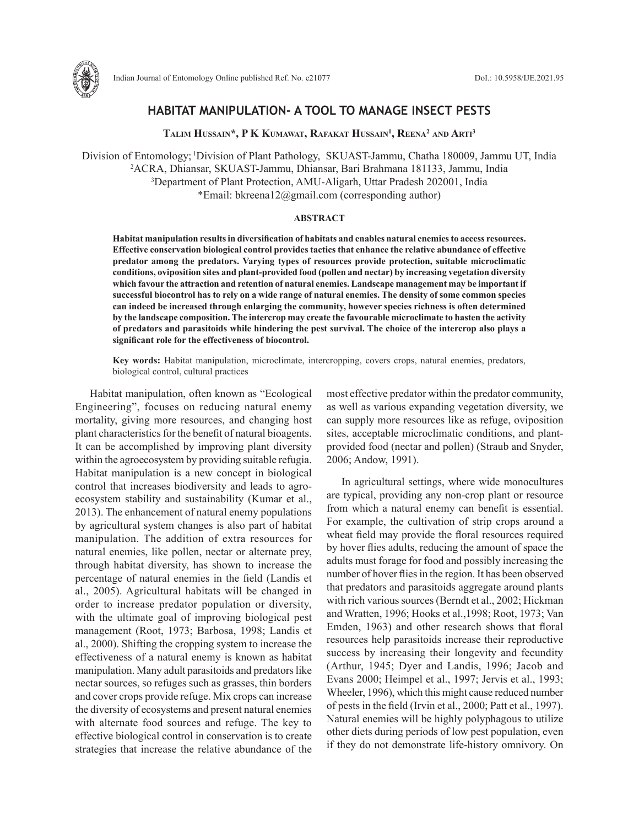

# **HABITAT MANIPULATION- A TOOL TO MANAGE INSECT PESTS**

**Talim Hussain\*, P K Kumawat, Rafakat Hussain1 , Reena2 and Arti 3**

Division of Entomology; 1Division of Plant Pathology, SKUAST-Jammu, Chatha 180009, Jammu UT, India 2 ACRA, Dhiansar, SKUAST-Jammu, Dhiansar, Bari Brahmana 181133, Jammu, India 3 Department of Plant Protection, AMU-Aligarh, Uttar Pradesh 202001, India \*Email: bkreena12@gmail.com (corresponding author)

## **ABSTRACT**

**Habitat manipulation results in diversification of habitats and enables natural enemies to access resources. Effective conservation biological control provides tactics that enhance the relative abundance of effective predator among the predators. Varying types of resources provide protection, suitable microclimatic conditions, oviposition sites and plant-provided food (pollen and nectar) by increasing vegetation diversity which favour the attraction and retention of natural enemies. Landscape management may be important if successful biocontrol has to rely on a wide range of natural enemies. The density of some common species can indeed be increased through enlarging the community, however species richness is often determined by the landscape composition. The intercrop may create the favourable microclimate to hasten the activity of predators and parasitoids while hindering the pest survival. The choice of the intercrop also plays a significant role for the effectiveness of biocontrol.**

**Key words:** Habitat manipulation, microclimate, intercropping, covers crops, natural enemies, predators, biological control, cultural practices

Habitat manipulation, often known as "Ecological Engineering", focuses on reducing natural enemy mortality, giving more resources, and changing host plant characteristics for the benefit of natural bioagents. It can be accomplished by improving plant diversity within the agroecosystem by providing suitable refugia. Habitat manipulation is a new concept in biological control that increases biodiversity and leads to agroecosystem stability and sustainability (Kumar et al., 2013). The enhancement of natural enemy populations by agricultural system changes is also part of habitat manipulation. The addition of extra resources for natural enemies, like pollen, nectar or alternate prey, through habitat diversity, has shown to increase the percentage of natural enemies in the field (Landis et al., 2005). Agricultural habitats will be changed in order to increase predator population or diversity, with the ultimate goal of improving biological pest management (Root, 1973; Barbosa, 1998; Landis et al., 2000). Shifting the cropping system to increase the effectiveness of a natural enemy is known as habitat manipulation. Many adult parasitoids and predators like nectar sources, so refuges such as grasses, thin borders and cover crops provide refuge. Mix crops can increase the diversity of ecosystems and present natural enemies with alternate food sources and refuge. The key to effective biological control in conservation is to create strategies that increase the relative abundance of the most effective predator within the predator community, as well as various expanding vegetation diversity, we can supply more resources like as refuge, oviposition sites, acceptable microclimatic conditions, and plantprovided food (nectar and pollen) (Straub and Snyder, 2006; Andow, 1991).

In agricultural settings, where wide monocultures are typical, providing any non-crop plant or resource from which a natural enemy can benefit is essential. For example, the cultivation of strip crops around a wheat field may provide the floral resources required by hover flies adults, reducing the amount of space the adults must forage for food and possibly increasing the number of hover flies in the region. It has been observed that predators and parasitoids aggregate around plants with rich various sources (Berndt et al., 2002; Hickman and Wratten, 1996; Hooks et al.,1998; Root, 1973; Van Emden, 1963) and other research shows that floral resources help parasitoids increase their reproductive success by increasing their longevity and fecundity (Arthur, 1945; Dyer and Landis, 1996; Jacob and Evans 2000; Heimpel et al., 1997; Jervis et al., 1993; Wheeler, 1996), which this might cause reduced number of pests in the field (Irvin et al., 2000; Patt et al., 1997). Natural enemies will be highly polyphagous to utilize other diets during periods of low pest population, even if they do not demonstrate life-history omnivory. On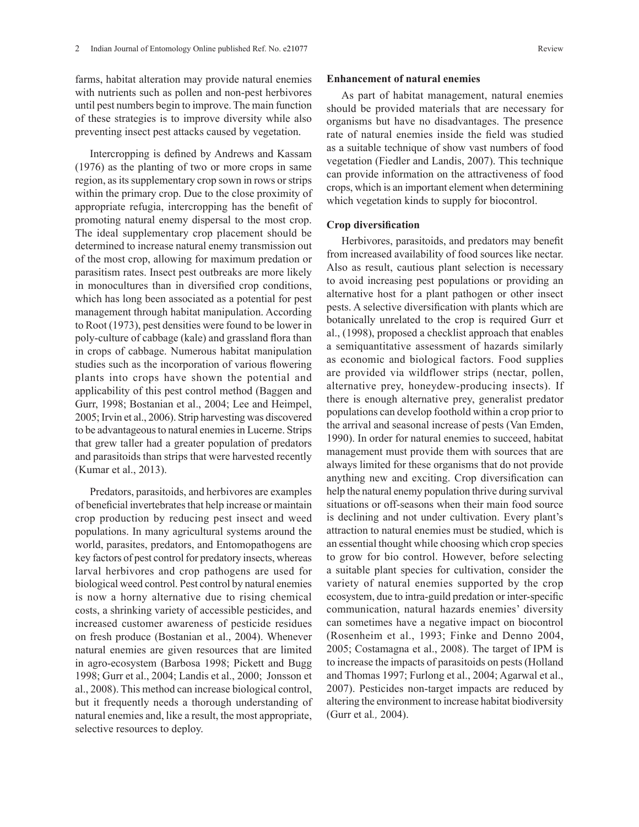farms, habitat alteration may provide natural enemies with nutrients such as pollen and non-pest herbivores until pest numbers begin to improve. The main function of these strategies is to improve diversity while also preventing insect pest attacks caused by vegetation.

Intercropping is defined by Andrews and Kassam (1976) as the planting of two or more crops in same region, as its supplementary crop sown in rows or strips within the primary crop. Due to the close proximity of appropriate refugia, intercropping has the benefit of promoting natural enemy dispersal to the most crop. The ideal supplementary crop placement should be determined to increase natural enemy transmission out of the most crop, allowing for maximum predation or parasitism rates. Insect pest outbreaks are more likely in monocultures than in diversified crop conditions, which has long been associated as a potential for pest management through habitat manipulation. According to Root (1973), pest densities were found to be lower in poly-culture of cabbage (kale) and grassland flora than in crops of cabbage. Numerous habitat manipulation studies such as the incorporation of various flowering plants into crops have shown the potential and applicability of this pest control method (Baggen and Gurr, 1998; Bostanian et al., 2004; Lee and Heimpel, 2005; Irvin et al., 2006). Strip harvesting was discovered to be advantageous to natural enemies in Lucerne. Strips that grew taller had a greater population of predators and parasitoids than strips that were harvested recently (Kumar et al., 2013).

Predators, parasitoids, and herbivores are examples of beneficial invertebrates that help increase or maintain crop production by reducing pest insect and weed populations. In many agricultural systems around the world, parasites, predators, and Entomopathogens are key factors of pest control for predatory insects, whereas larval herbivores and crop pathogens are used for biological weed control. Pest control by natural enemies is now a horny alternative due to rising chemical costs, a shrinking variety of accessible pesticides, and increased customer awareness of pesticide residues on fresh produce (Bostanian et al., 2004). Whenever natural enemies are given resources that are limited in agro-ecosystem (Barbosa 1998; Pickett and Bugg 1998; Gurr et al., 2004; Landis et al., 2000; Jonsson et al., 2008). This method can increase biological control, but it frequently needs a thorough understanding of natural enemies and, like a result, the most appropriate, selective resources to deploy.

#### **Enhancement of natural enemies**

As part of habitat management, natural enemies should be provided materials that are necessary for organisms but have no disadvantages. The presence rate of natural enemies inside the field was studied as a suitable technique of show vast numbers of food vegetation (Fiedler and Landis, 2007). This technique can provide information on the attractiveness of food crops, which is an important element when determining which vegetation kinds to supply for biocontrol.

### **Crop diversification**

Herbivores, parasitoids, and predators may benefit from increased availability of food sources like nectar. Also as result, cautious plant selection is necessary to avoid increasing pest populations or providing an alternative host for a plant pathogen or other insect pests. A selective diversification with plants which are botanically unrelated to the crop is required Gurr et al., (1998), proposed a checklist approach that enables a semiquantitative assessment of hazards similarly as economic and biological factors. Food supplies are provided via wildflower strips (nectar, pollen, alternative prey, honeydew-producing insects). If there is enough alternative prey, generalist predator populations can develop foothold within a crop prior to the arrival and seasonal increase of pests (Van Emden, 1990). In order for natural enemies to succeed, habitat management must provide them with sources that are always limited for these organisms that do not provide anything new and exciting. Crop diversification can help the natural enemy population thrive during survival situations or off-seasons when their main food source is declining and not under cultivation. Every plant's attraction to natural enemies must be studied, which is an essential thought while choosing which crop species to grow for bio control. However, before selecting a suitable plant species for cultivation, consider the variety of natural enemies supported by the crop ecosystem, due to intra-guild predation or inter-specific communication, natural hazards enemies' diversity can sometimes have a negative impact on biocontrol (Rosenheim et al., 1993; Finke and Denno 2004, 2005; Costamagna et al., 2008). The target of IPM is to increase the impacts of parasitoids on pests (Holland and Thomas 1997; Furlong et al., 2004; Agarwal et al., 2007). Pesticides non-target impacts are reduced by altering the environment to increase habitat biodiversity (Gurr et al*.,* 2004).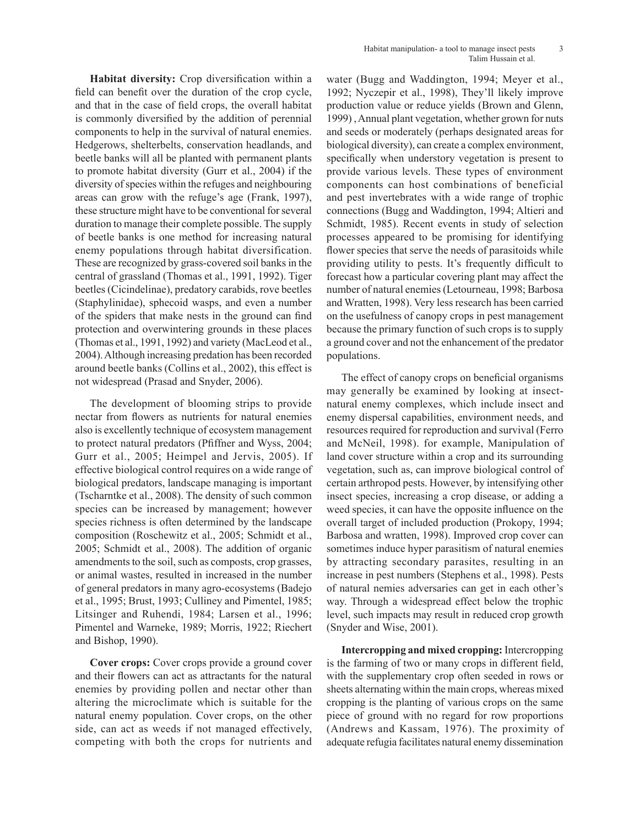**Habitat diversity:** Crop diversification within a field can benefit over the duration of the crop cycle, and that in the case of field crops, the overall habitat is commonly diversified by the addition of perennial components to help in the survival of natural enemies. Hedgerows, shelterbelts, conservation headlands, and beetle banks will all be planted with permanent plants to promote habitat diversity (Gurr et al., 2004) if the diversity of species within the refuges and neighbouring areas can grow with the refuge's age (Frank, 1997), these structure might have to be conventional for several duration to manage their complete possible. The supply of beetle banks is one method for increasing natural enemy populations through habitat diversification. These are recognized by grass-covered soil banks in the central of grassland (Thomas et al., 1991, 1992). Tiger beetles (Cicindelinae), predatory carabids, rove beetles (Staphylinidae), sphecoid wasps, and even a number of the spiders that make nests in the ground can find protection and overwintering grounds in these places (Thomas et al., 1991, 1992) and variety (MacLeod et al., 2004). Although increasing predation has been recorded around beetle banks (Collins et al., 2002), this effect is not widespread (Prasad and Snyder, 2006).

The development of blooming strips to provide nectar from flowers as nutrients for natural enemies also is excellently technique of ecosystem management to protect natural predators (Pfiffner and Wyss, 2004; Gurr et al., 2005; Heimpel and Jervis, 2005). If effective biological control requires on a wide range of biological predators, landscape managing is important (Tscharntke et al., 2008). The density of such common species can be increased by management; however species richness is often determined by the landscape composition (Roschewitz et al., 2005; Schmidt et al., 2005; Schmidt et al., 2008). The addition of organic amendments to the soil, such as composts, crop grasses, or animal wastes, resulted in increased in the number of general predators in many agro-ecosystems (Badejo et al., 1995; Brust, 1993; Culliney and Pimentel, 1985; Litsinger and Ruhendi, 1984; Larsen et al., 1996; Pimentel and Warneke, 1989; Morris, 1922; Riechert and Bishop, 1990).

**Cover crops:** Cover crops provide a ground cover and their flowers can act as attractants for the natural enemies by providing pollen and nectar other than altering the microclimate which is suitable for the natural enemy population. Cover crops, on the other side, can act as weeds if not managed effectively, competing with both the crops for nutrients and water (Bugg and Waddington, 1994; Meyer et al., 1992; Nyczepir et al., 1998), They'll likely improve production value or reduce yields (Brown and Glenn, 1999) , Annual plant vegetation, whether grown for nuts and seeds or moderately (perhaps designated areas for biological diversity), can create a complex environment, specifically when understory vegetation is present to provide various levels. These types of environment components can host combinations of beneficial and pest invertebrates with a wide range of trophic connections (Bugg and Waddington, 1994; Altieri and Schmidt, 1985). Recent events in study of selection processes appeared to be promising for identifying flower species that serve the needs of parasitoids while providing utility to pests. It's frequently difficult to forecast how a particular covering plant may affect the number of natural enemies (Letourneau, 1998; Barbosa and Wratten, 1998). Very less research has been carried on the usefulness of canopy crops in pest management because the primary function of such crops is to supply a ground cover and not the enhancement of the predator populations.

The effect of canopy crops on beneficial organisms may generally be examined by looking at insectnatural enemy complexes, which include insect and enemy dispersal capabilities, environment needs, and resources required for reproduction and survival (Ferro and McNeil, 1998). for example, Manipulation of land cover structure within a crop and its surrounding vegetation, such as, can improve biological control of certain arthropod pests. However, by intensifying other insect species, increasing a crop disease, or adding a weed species, it can have the opposite influence on the overall target of included production (Prokopy, 1994; Barbosa and wratten, 1998). Improved crop cover can sometimes induce hyper parasitism of natural enemies by attracting secondary parasites, resulting in an increase in pest numbers (Stephens et al., 1998). Pests of natural nemies adversaries can get in each other's way. Through a widespread effect below the trophic level, such impacts may result in reduced crop growth (Snyder and Wise, 2001).

**Intercropping and mixed cropping:** Intercropping is the farming of two or many crops in different field, with the supplementary crop often seeded in rows or sheets alternating within the main crops, whereas mixed cropping is the planting of various crops on the same piece of ground with no regard for row proportions (Andrews and Kassam, 1976). The proximity of adequate refugia facilitates natural enemy dissemination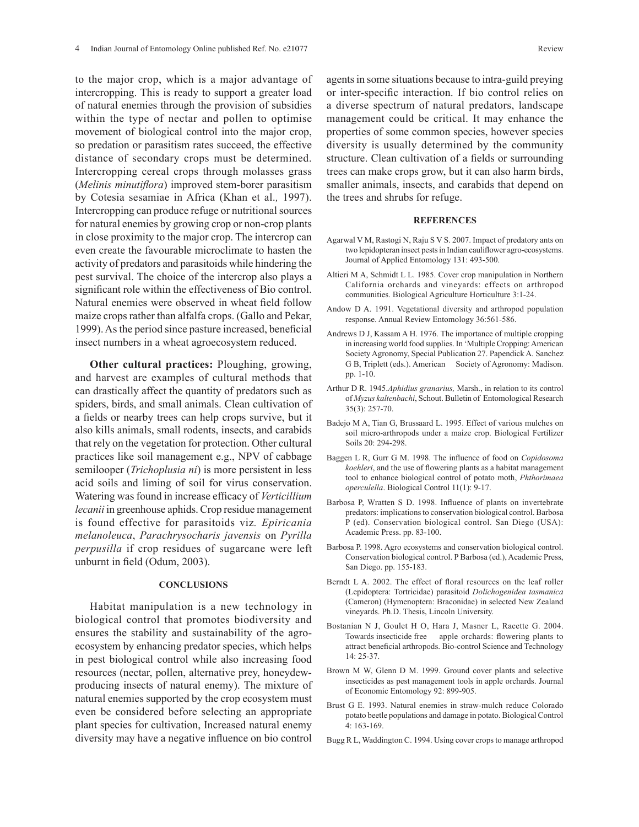to the major crop, which is a major advantage of intercropping. This is ready to support a greater load of natural enemies through the provision of subsidies within the type of nectar and pollen to optimise movement of biological control into the major crop, so predation or parasitism rates succeed, the effective distance of secondary crops must be determined. Intercropping cereal crops through molasses grass (*Melinis minutiflora*) improved stem-borer parasitism by Cotesia sesamiae in Africa (Khan et al.*,* 1997). Intercropping can produce refuge or nutritional sources for natural enemies by growing crop or non-crop plants in close proximity to the major crop. The intercrop can even create the favourable microclimate to hasten the activity of predators and parasitoids while hindering the pest survival. The choice of the intercrop also plays a significant role within the effectiveness of Bio control. Natural enemies were observed in wheat field follow maize crops rather than alfalfa crops. (Gallo and Pekar, 1999). As the period since pasture increased, beneficial insect numbers in a wheat agroecosystem reduced.

**Other cultural practices:** Ploughing, growing, and harvest are examples of cultural methods that can drastically affect the quantity of predators such as spiders, birds, and small animals. Clean cultivation of a fields or nearby trees can help crops survive, but it also kills animals, small rodents, insects, and carabids that rely on the vegetation for protection. Other cultural practices like soil management e.g., NPV of cabbage semilooper (*Trichoplusia ni*) is more persistent in less acid soils and liming of soil for virus conservation. Watering was found in increase efficacy of *Verticillium lecanii* in greenhouse aphids. Crop residue management is found effective for parasitoids viz*. Epiricania melanoleuca*, *Parachrysocharis javensis* on *Pyrilla perpusilla* if crop residues of sugarcane were left unburnt in field (Odum, 2003).

## **CONCLUSIONS**

Habitat manipulation is a new technology in biological control that promotes biodiversity and ensures the stability and sustainability of the agroecosystem by enhancing predator species, which helps in pest biological control while also increasing food resources (nectar, pollen, alternative prey, honeydewproducing insects of natural enemy). The mixture of natural enemies supported by the crop ecosystem must even be considered before selecting an appropriate plant species for cultivation, Increased natural enemy diversity may have a negative influence on bio control agents in some situations because to intra-guild preying or inter-specific interaction. If bio control relies on a diverse spectrum of natural predators, landscape management could be critical. It may enhance the properties of some common species, however species diversity is usually determined by the community structure. Clean cultivation of a fields or surrounding trees can make crops grow, but it can also harm birds, smaller animals, insects, and carabids that depend on the trees and shrubs for refuge.

#### **REFERENCES**

- Agarwal V M, Rastogi N, Raju S V S. 2007. Impact of predatory ants on two lepidopteran insect pests in Indian cauliflower agro-ecosystems. Journal of Applied Entomology 131: 493-500.
- Altieri M A, Schmidt L L. 1985. Cover crop manipulation in Northern California orchards and vineyards: effects on arthropod communities. Biological Agriculture Horticulture 3:1-24.
- Andow D A. 1991. Vegetational diversity and arthropod population response. Annual Review Entomology 36:561-586.
- Andrews D J, Kassam A H. 1976. The importance of multiple cropping in increasing world food supplies. In 'Multiple Cropping: American Society Agronomy, Special Publication 27. Papendick A. Sanchez G B, Triplett (eds.). American Society of Agronomy: Madison. pp. 1-10.
- Arthur D R. 1945.*Aphidius granarius,* Marsh., in relation to its control of *Myzus kaltenbachi*, Schout. Bulletin of Entomological Research 35(3): 257-70.
- Badejo M A, Tian G, Brussaard L. 1995. Effect of various mulches on soil micro-arthropods under a maize crop. Biological Fertilizer Soils 20: 294-298.
- Baggen L R, Gurr G M. 1998. The influence of food on *Copidosoma koehleri*, and the use of flowering plants as a habitat management tool to enhance biological control of potato moth, *Phthorimaea operculella*. Biological Control 11(1): 9-17.
- Barbosa P, Wratten S D. 1998. Influence of plants on invertebrate predators: implications to conservation biological control. Barbosa P (ed). Conservation biological control. San Diego (USA): Academic Press. pp. 83-100.
- Barbosa P. 1998. Agro ecosystems and conservation biological control. Conservation biological control. P Barbosa (ed.), Academic Press, San Diego. pp. 155-183.
- Berndt L A. 2002. The effect of floral resources on the leaf roller (Lepidoptera: Tortricidae) parasitoid *Dolichogenidea tasmanica* (Cameron) (Hymenoptera: Braconidae) in selected New Zealand vineyards. Ph.D. Thesis, Lincoln University.
- Bostanian N J, Goulet H O, Hara J, Masner L, Racette G. 2004. Towards insecticide free apple orchards: flowering plants to attract beneficial arthropods. Bio-control Science and Technology 14: 25-37.
- Brown M W, Glenn D M. 1999. Ground cover plants and selective insecticides as pest management tools in apple orchards. Journal of Economic Entomology 92: 899-905.
- Brust G E. 1993. Natural enemies in straw-mulch reduce Colorado potato beetle populations and damage in potato. Biological Control 4: 163-169.
- Bugg R L, Waddington C. 1994. Using cover crops to manage arthropod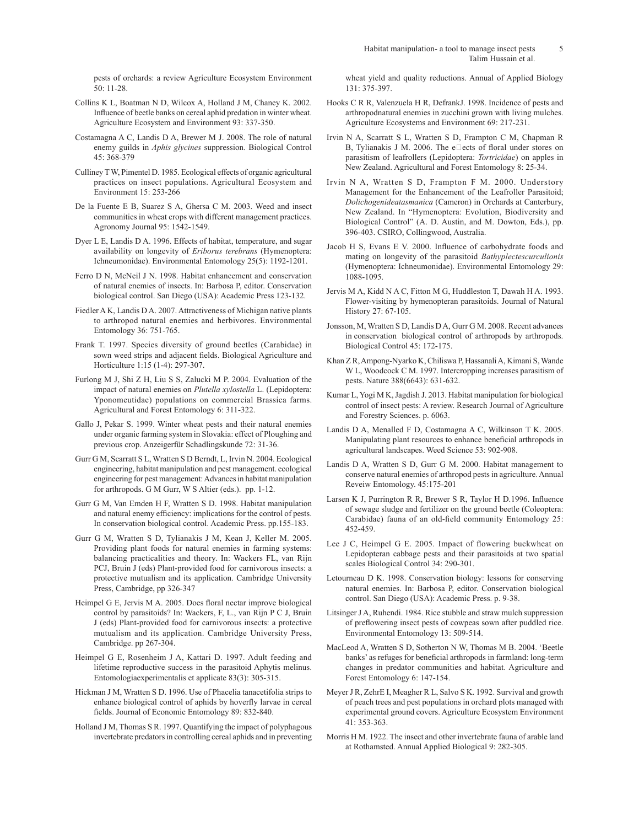pests of orchards: a review Agriculture Ecosystem Environment 50: 11-28.

- Collins K L, Boatman N D, Wilcox A, Holland J M, Chaney K. 2002. Influence of beetle banks on cereal aphid predation in winter wheat. Agriculture Ecosystem and Environment 93: 337-350.
- Costamagna A C, Landis D A, Brewer M J. 2008. The role of natural enemy guilds in *Aphis glycines* suppression. Biological Control 45: 368-379
- Culliney T W, Pimentel D. 1985. Ecological effects of organic agricultural practices on insect populations. Agricultural Ecosystem and Environment 15: 253-266
- De la Fuente E B, Suarez S A, Ghersa C M. 2003. Weed and insect communities in wheat crops with different management practices. Agronomy Journal 95: 1542-1549.
- Dyer L E, Landis D A. 1996. Effects of habitat, temperature, and sugar availability on longevity of *Eriborus terebrans* (Hymenoptera: Ichneumonidae). Environmental Entomology 25(5): 1192-1201.
- Ferro D N, McNeil J N. 1998. Habitat enhancement and conservation of natural enemies of insects. In: Barbosa P, editor. Conservation biological control. San Diego (USA): Academic Press 123-132.
- Fiedler A K, Landis D A. 2007. Attractiveness of Michigan native plants to arthropod natural enemies and herbivores. Environmental Entomology 36: 751-765.
- Frank T. 1997. Species diversity of ground beetles (Carabidae) in sown weed strips and adjacent fields. Biological Agriculture and Horticulture 1:15 (1-4): 297-307.
- Furlong M J, Shi Z H, Liu S S, Zalucki M P. 2004. Evaluation of the impact of natural enemies on *Plutella xylostella* L. (Lepidoptera: Yponomeutidae) populations on commercial Brassica farms. Agricultural and Forest Entomology 6: 311-322.
- Gallo J, Pekar S. 1999. Winter wheat pests and their natural enemies under organic farming system in Slovakia: effect of Ploughing and previous crop. Anzeigerfür Schadlingskunde 72: 31-36.
- Gurr G M, Scarratt S L, Wratten S D Berndt, L, Irvin N. 2004. Ecological engineering, habitat manipulation and pest management. ecological engineering for pest management: Advances in habitat manipulation for arthropods. G M Gurr, W S Altier (eds.). pp. 1-12.
- Gurr G M, Van Emden H F, Wratten S D. 1998. Habitat manipulation and natural enemy efficiency: implications for the control of pests. In conservation biological control. Academic Press. pp.155-183.
- Gurr G M, Wratten S D, Tylianakis J M, Kean J, Keller M. 2005. Providing plant foods for natural enemies in farming systems: balancing practicalities and theory. In: Wackers FL, van Rijn PCJ, Bruin J (eds) Plant-provided food for carnivorous insects: a protective mutualism and its application. Cambridge University Press, Cambridge, pp 326-347
- Heimpel G E, Jervis M A. 2005. Does floral nectar improve biological control by parasitoids? In: Wackers, F, L., van Rijn P C J, Bruin J (eds) Plant-provided food for carnivorous insects: a protective mutualism and its application. Cambridge University Press, Cambridge. pp 267-304.
- Heimpel G E, Rosenheim J A, Kattari D. 1997. Adult feeding and lifetime reproductive success in the parasitoid Aphytis melinus. Entomologiaexperimentalis et applicate 83(3): 305-315.
- Hickman J M, Wratten S D. 1996. Use of Phacelia tanacetifolia strips to enhance biological control of aphids by hoverfly larvae in cereal fields. Journal of Economic Entomology 89: 832-840.
- Holland J M, Thomas S R. 1997. Quantifying the impact of polyphagous invertebrate predators in controlling cereal aphids and in preventing

wheat yield and quality reductions. Annual of Applied Biology 131: 375-397.

- Hooks C R R, Valenzuela H R, DefrankJ. 1998. Incidence of pests and arthropodnatural enemies in zucchini grown with living mulches. Agriculture Ecosystems and Environment 69: 217-231.
- Irvin N A, Scarratt S L, Wratten S D, Frampton C M, Chapman R B, Tylianakis J M. 2006. The e $\square$ ects of floral under stores on parasitism of leafrollers (Lepidoptera: *Tortricidae*) on apples in New Zealand. Agricultural and Forest Entomology 8: 25-34.
- Irvin N A, Wratten S D, Frampton F M. 2000. Understory Management for the Enhancement of the Leafroller Parasitoid; *Dolichogenideatasmanica* (Cameron) in Orchards at Canterbury, New Zealand. In "Hymenoptera: Evolution, Biodiversity and Biological Control" (A. D. Austin, and M. Dowton, Eds.), pp. 396-403. CSIRO, Collingwood, Australia.
- Jacob H S, Evans E V. 2000. Influence of carbohydrate foods and mating on longevity of the parasitoid *Bathyplectescurculionis* (Hymenoptera: Ichneumonidae). Environmental Entomology 29: 1088-1095.
- Jervis M A, Kidd N A C, Fitton M G, Huddleston T, Dawah H A. 1993. Flower-visiting by hymenopteran parasitoids. Journal of Natural History 27: 67-105.
- Jonsson, M, Wratten S D, Landis D A, Gurr G M. 2008. Recent advances in conservation biological control of arthropods by arthropods. Biological Control 45: 172-175.
- Khan Z R, Ampong-Nyarko K, Chiliswa P, Hassanali A, Kimani S, Wande W L, Woodcock C M. 1997. Intercropping increases parasitism of pests. Nature 388(6643): 631-632.
- Kumar L, Yogi M K, Jagdish J. 2013. Habitat manipulation for biological control of insect pests: A review. Research Journal of Agriculture and Forestry Sciences. p. 6063.
- Landis D A, Menalled F D, Costamagna A C, Wilkinson T K. 2005. Manipulating plant resources to enhance beneficial arthropods in agricultural landscapes. Weed Science 53: 902-908.
- Landis D A, Wratten S D, Gurr G M. 2000. Habitat management to conserve natural enemies of arthropod pests in agriculture. Annual Reveiw Entomology. 45:175-201
- Larsen K J, Purrington R R, Brewer S R, Taylor H D.1996. Influence of sewage sludge and fertilizer on the ground beetle (Coleoptera: Carabidae) fauna of an old-field community Entomology 25: 452-459.
- Lee J C, Heimpel G E. 2005. Impact of flowering buckwheat on Lepidopteran cabbage pests and their parasitoids at two spatial scales Biological Control 34: 290-301.
- Letourneau D K. 1998. Conservation biology: lessons for conserving natural enemies. In: Barbosa P, editor. Conservation biological control. San Diego (USA): Academic Press. p. 9-38.
- Litsinger J A, Ruhendi. 1984. Rice stubble and straw mulch suppression of preflowering insect pests of cowpeas sown after puddled rice. Environmental Entomology 13: 509-514.
- MacLeod A, Wratten S D, Sotherton N W, Thomas M B. 2004. 'Beetle banks' as refuges for beneficial arthropods in farmland: long-term changes in predator communities and habitat. Agriculture and Forest Entomology 6: 147-154.
- Meyer J R, ZehrE I, Meagher R L, Salvo S K. 1992. Survival and growth of peach trees and pest populations in orchard plots managed with experimental ground covers. Agriculture Ecosystem Environment 41: 353-363.
- Morris H M. 1922. The insect and other invertebrate fauna of arable land at Rothamsted. Annual Applied Biological 9: 282-305.